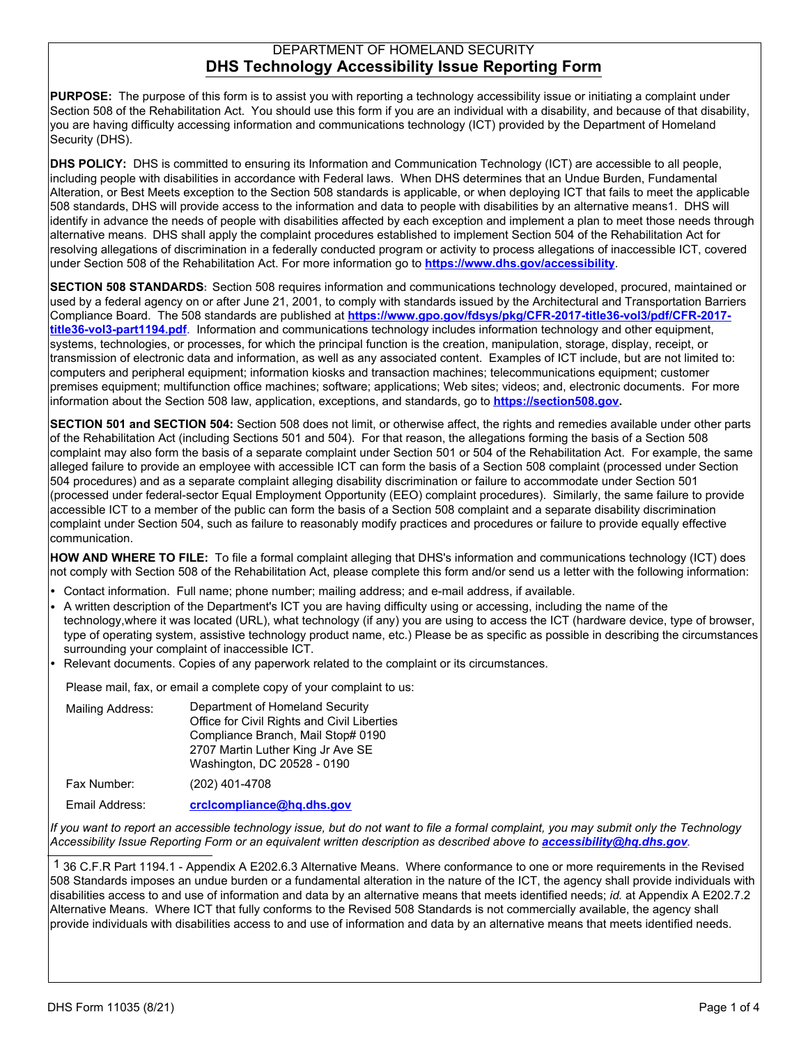## DEPARTMENT OF HOMELAND SECURITY **DHS Technology Accessibility Issue Reporting Form**

**PURPOSE:** The purpose of this form is to assist you with reporting a technology accessibility issue or initiating a complaint under Section 508 of the Rehabilitation Act. You should use this form if you are an individual with a disability, and because of that disability, you are having difficulty accessing information and communications technology (ICT) provided by the Department of Homeland Security (DHS).

**DHS POLICY:** DHS is committed to ensuring its Information and Communication Technology (ICT) are accessible to all people, including people with disabilities in accordance with Federal laws. When DHS determines that an Undue Burden, Fundamental Alteration, or Best Meets exception to the Section 508 standards is applicable, or when deploying ICT that fails to meet the applicable 508 standards, DHS will provide access to the information and data to people with disabilities by an alternative means1. DHS will identify in advance the needs of people with disabilities affected by each exception and implement a plan to meet those needs through alternative means. DHS shall apply the complaint procedures established to implement Section 504 of the Rehabilitation Act for resolving allegations of discrimination in a federally conducted program or activity to process allegations of inaccessible ICT, covered under Section 508 of the Rehabilitation Act. For more information go to **https://www.dhs.gov/accessibility**.

**SECTION 508 STANDARDS:** Section 508 requires information and communications technology developed, procured, maintained or used by a federal agency on or after June 21, 2001, to comply with standards issued by the Architectural and Transportation Barriers Compliance Board. The 508 standards are published at **https://www.gpo.gov/fdsys/pkg/CFR-2017-title36-vol3/pdf/CFR-2017 title36-vol3-part1194.pdf**. Information and communications technology includes information technology and other equipment, systems, technologies, or processes, for which the principal function is the creation, manipulation, storage, display, receipt, or transmission of electronic data and information, as well as any associated content. Examples of ICT include, but are not limited to: computers and peripheral equipment; information kiosks and transaction machines; telecommunications equipment; customer premises equipment; multifunction office machines; software; applications; Web sites; videos; and, electronic documents. For more information about the Section 508 law, application, exceptions, and standards, go to **<https://section508.gov>.**

**SECTION 501 and SECTION 504:** Section 508 does not limit, or otherwise affect, the rights and remedies available under other parts of the Rehabilitation Act (including Sections 501 and 504). For that reason, the allegations forming the basis of a Section 508 complaint may also form the basis of a separate complaint under Section 501 or 504 of the Rehabilitation Act. For example, the same alleged failure to provide an employee with accessible ICT can form the basis of a Section 508 complaint (processed under Section 504 procedures) and as a separate complaint alleging disability discrimination or failure to accommodate under Section 501 (processed under federal-sector Equal Employment Opportunity (EEO) complaint procedures). Similarly, the same failure to provide accessible ICT to a member of the public can form the basis of a Section 508 complaint and a separate disability discrimination complaint under Section 504, such as failure to reasonably modify practices and procedures or failure to provide equally effective communication.

**HOW AND WHERE TO FILE:** To file a formal complaint alleging that DHS's information and communications technology (ICT) does not comply with Section 508 of the Rehabilitation Act, please complete this form and/or send us a letter with the following information:

- **•** Contact information. Full name; phone number; mailing address; and e-mail address, if available.
- **•** A written description of the Department's ICT you are having difficulty using or accessing, including the name of the technology,where it was located (URL), what technology (if any) you are using to access the ICT (hardware device, type of browser, type of operating system, assistive technology product name, etc.) Please be as specific as possible in describing the circumstances surrounding your complaint of inaccessible ICT.
- **•** Relevant documents. Copies of any paperwork related to the complaint or its circumstances.

Please mail, fax, or email a complete copy of your complaint to us:

| Mailing Address: | Department of Homeland Security<br>Office for Civil Rights and Civil Liberties<br>Compliance Branch, Mail Stop# 0190<br>2707 Martin Luther King Jr Ave SE<br>Washington, DC 20528 - 0190 |
|------------------|------------------------------------------------------------------------------------------------------------------------------------------------------------------------------------------|
| Fax Number:      | (202) 401-4708                                                                                                                                                                           |

Email Address: **crclcompliance@hq.dhs.gov**

*If you want to report an accessible technology issue, but do not want to file a formal complaint, you may submit only the Technology Accessibility Issue Reporting Form or an equivalent written description as described above to [accessibility@hq.dhs.gov](mailto:accessibility@hq.dhs.gov?subject=DHS%20Technology%20Accessibility%20Issue%20Reporting%20Form)[.](mailto:accessibility@hq.dhs.gov?subject=DHS%20Technology%20Accessibility%20Issue%20Reporting%20Form)*

 1 36 C.F.R Part 1194.1 - Appendix A E202.6.3 Alternative Means. Where conformance to one or more requirements in the Revised 508 Standards imposes an undue burden or a fundamental alteration in the nature of the ICT, the agency shall provide individuals with disabilities access to and use of information and data by an alternative means that meets identified needs; *id.* at Appendix A E202.7.2 Alternative Means. Where ICT that fully conforms to the Revised 508 Standards is not commercially available, the agency shall provide individuals with disabilities access to and use of information and data by an alternative means that meets identified needs.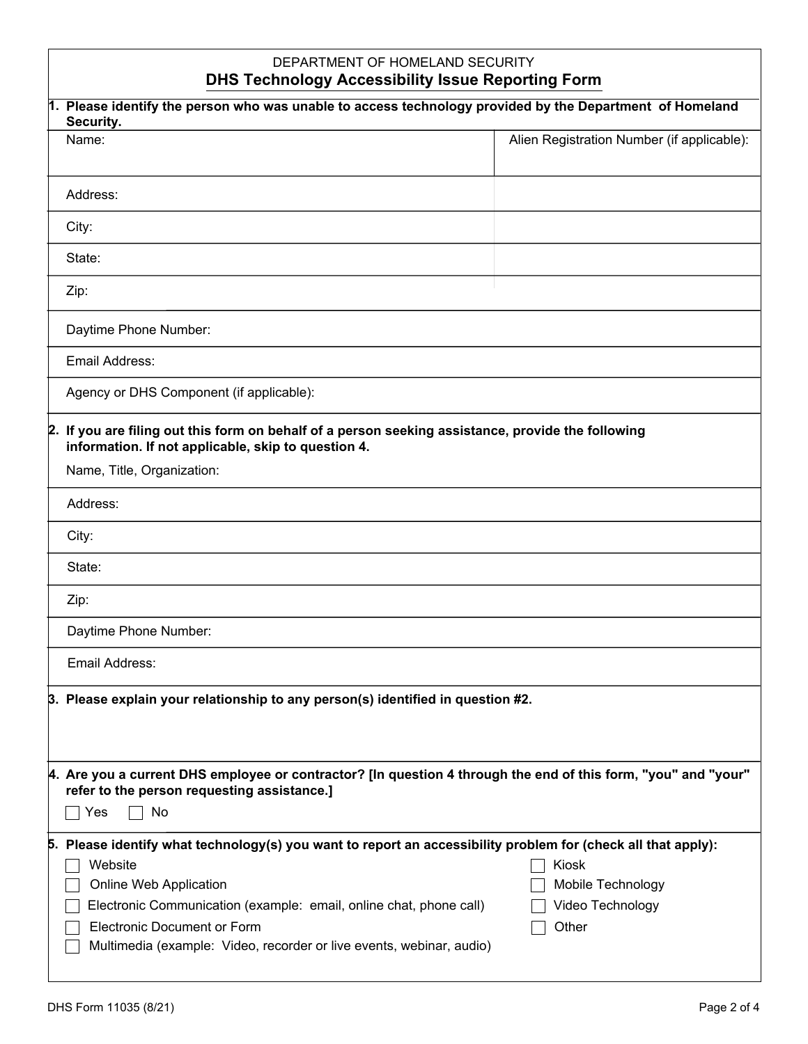| DEPARTMENT OF HOMELAND SECURITY<br><b>DHS Technology Accessibility Issue Reporting Form</b>                                                                                                                                                                                                                                            |                                                         |  |
|----------------------------------------------------------------------------------------------------------------------------------------------------------------------------------------------------------------------------------------------------------------------------------------------------------------------------------------|---------------------------------------------------------|--|
| 1. Please identify the person who was unable to access technology provided by the Department of Homeland<br>Security.                                                                                                                                                                                                                  |                                                         |  |
| Name:                                                                                                                                                                                                                                                                                                                                  | Alien Registration Number (if applicable):              |  |
| Address:                                                                                                                                                                                                                                                                                                                               |                                                         |  |
| City:                                                                                                                                                                                                                                                                                                                                  |                                                         |  |
| State:                                                                                                                                                                                                                                                                                                                                 |                                                         |  |
| Zip:                                                                                                                                                                                                                                                                                                                                   |                                                         |  |
| Daytime Phone Number:                                                                                                                                                                                                                                                                                                                  |                                                         |  |
| Email Address:                                                                                                                                                                                                                                                                                                                         |                                                         |  |
| Agency or DHS Component (if applicable):                                                                                                                                                                                                                                                                                               |                                                         |  |
| 2. If you are filing out this form on behalf of a person seeking assistance, provide the following<br>information. If not applicable, skip to question 4.                                                                                                                                                                              |                                                         |  |
| Name, Title, Organization:                                                                                                                                                                                                                                                                                                             |                                                         |  |
| Address:                                                                                                                                                                                                                                                                                                                               |                                                         |  |
| City:                                                                                                                                                                                                                                                                                                                                  |                                                         |  |
| State:                                                                                                                                                                                                                                                                                                                                 |                                                         |  |
| Zip:                                                                                                                                                                                                                                                                                                                                   |                                                         |  |
| Daytime Phone Number:                                                                                                                                                                                                                                                                                                                  |                                                         |  |
| Email Address:                                                                                                                                                                                                                                                                                                                         |                                                         |  |
| 3. Please explain your relationship to any person(s) identified in question #2.                                                                                                                                                                                                                                                        |                                                         |  |
|                                                                                                                                                                                                                                                                                                                                        |                                                         |  |
| 4. Are you a current DHS employee or contractor? [In question 4 through the end of this form, "you" and "your"<br>refer to the person requesting assistance.]                                                                                                                                                                          |                                                         |  |
| No<br>Yes                                                                                                                                                                                                                                                                                                                              |                                                         |  |
| 5. Please identify what technology(s) you want to report an accessibility problem for (check all that apply):<br>Website<br>Online Web Application<br>Electronic Communication (example: email, online chat, phone call)<br><b>Electronic Document or Form</b><br>Multimedia (example: Video, recorder or live events, webinar, audio) | Kiosk<br>Mobile Technology<br>Video Technology<br>Other |  |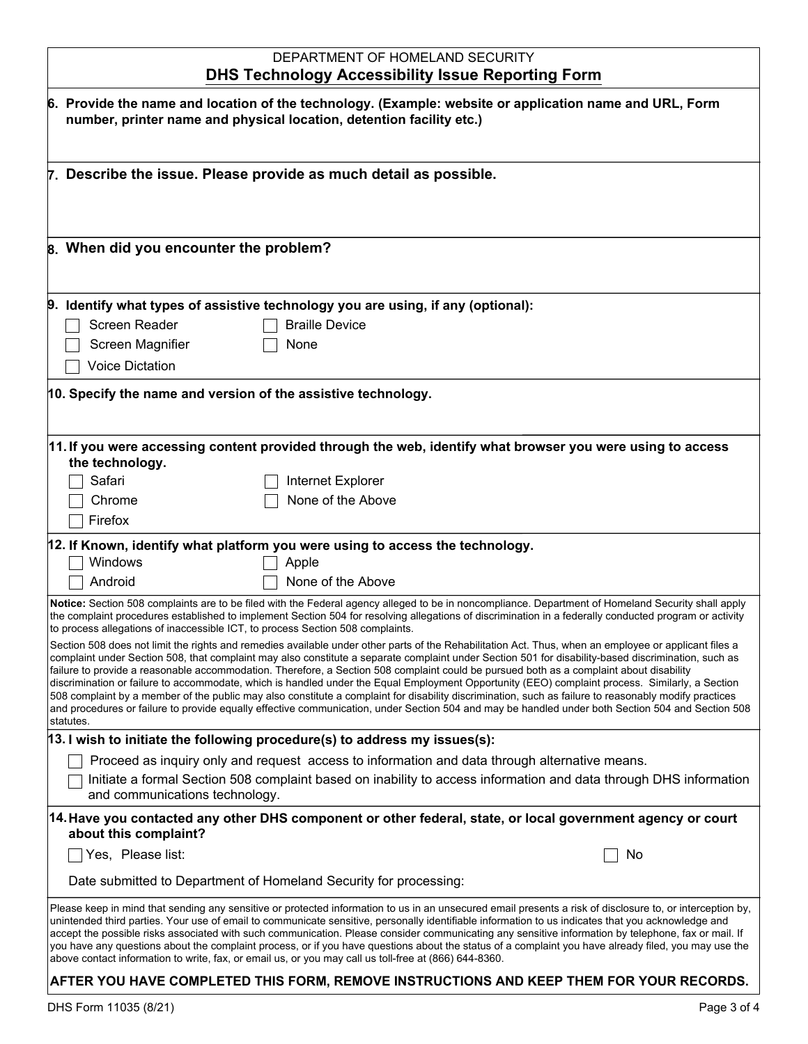## DEPARTMENT OF HOMELAND SECURITY **DHS Technology Accessibility Issue Reporting Form**

| 6. Provide the name and location of the technology. (Example: website or application name and URL, Form<br>number, printer name and physical location, detention facility etc.)                                                                                                                                                                                                                                                                                                                                                                                                                                                                                                                                                         |                                                                                                                                                                                                                                                                                                                                                                                                                                                                                                                                                                                                                                                                                                                                                                                                                                                                                                                          |  |
|-----------------------------------------------------------------------------------------------------------------------------------------------------------------------------------------------------------------------------------------------------------------------------------------------------------------------------------------------------------------------------------------------------------------------------------------------------------------------------------------------------------------------------------------------------------------------------------------------------------------------------------------------------------------------------------------------------------------------------------------|--------------------------------------------------------------------------------------------------------------------------------------------------------------------------------------------------------------------------------------------------------------------------------------------------------------------------------------------------------------------------------------------------------------------------------------------------------------------------------------------------------------------------------------------------------------------------------------------------------------------------------------------------------------------------------------------------------------------------------------------------------------------------------------------------------------------------------------------------------------------------------------------------------------------------|--|
|                                                                                                                                                                                                                                                                                                                                                                                                                                                                                                                                                                                                                                                                                                                                         |                                                                                                                                                                                                                                                                                                                                                                                                                                                                                                                                                                                                                                                                                                                                                                                                                                                                                                                          |  |
| 7. Describe the issue. Please provide as much detail as possible.                                                                                                                                                                                                                                                                                                                                                                                                                                                                                                                                                                                                                                                                       |                                                                                                                                                                                                                                                                                                                                                                                                                                                                                                                                                                                                                                                                                                                                                                                                                                                                                                                          |  |
| 8. When did you encounter the problem?                                                                                                                                                                                                                                                                                                                                                                                                                                                                                                                                                                                                                                                                                                  |                                                                                                                                                                                                                                                                                                                                                                                                                                                                                                                                                                                                                                                                                                                                                                                                                                                                                                                          |  |
|                                                                                                                                                                                                                                                                                                                                                                                                                                                                                                                                                                                                                                                                                                                                         | 9. Identify what types of assistive technology you are using, if any (optional):                                                                                                                                                                                                                                                                                                                                                                                                                                                                                                                                                                                                                                                                                                                                                                                                                                         |  |
| Screen Reader                                                                                                                                                                                                                                                                                                                                                                                                                                                                                                                                                                                                                                                                                                                           | <b>Braille Device</b>                                                                                                                                                                                                                                                                                                                                                                                                                                                                                                                                                                                                                                                                                                                                                                                                                                                                                                    |  |
| Screen Magnifier                                                                                                                                                                                                                                                                                                                                                                                                                                                                                                                                                                                                                                                                                                                        | None                                                                                                                                                                                                                                                                                                                                                                                                                                                                                                                                                                                                                                                                                                                                                                                                                                                                                                                     |  |
| <b>Voice Dictation</b>                                                                                                                                                                                                                                                                                                                                                                                                                                                                                                                                                                                                                                                                                                                  |                                                                                                                                                                                                                                                                                                                                                                                                                                                                                                                                                                                                                                                                                                                                                                                                                                                                                                                          |  |
| 10. Specify the name and version of the assistive technology.                                                                                                                                                                                                                                                                                                                                                                                                                                                                                                                                                                                                                                                                           |                                                                                                                                                                                                                                                                                                                                                                                                                                                                                                                                                                                                                                                                                                                                                                                                                                                                                                                          |  |
|                                                                                                                                                                                                                                                                                                                                                                                                                                                                                                                                                                                                                                                                                                                                         | 11. If you were accessing content provided through the web, identify what browser you were using to access                                                                                                                                                                                                                                                                                                                                                                                                                                                                                                                                                                                                                                                                                                                                                                                                               |  |
| the technology.                                                                                                                                                                                                                                                                                                                                                                                                                                                                                                                                                                                                                                                                                                                         |                                                                                                                                                                                                                                                                                                                                                                                                                                                                                                                                                                                                                                                                                                                                                                                                                                                                                                                          |  |
| Safari                                                                                                                                                                                                                                                                                                                                                                                                                                                                                                                                                                                                                                                                                                                                  | Internet Explorer                                                                                                                                                                                                                                                                                                                                                                                                                                                                                                                                                                                                                                                                                                                                                                                                                                                                                                        |  |
| Chrome                                                                                                                                                                                                                                                                                                                                                                                                                                                                                                                                                                                                                                                                                                                                  | None of the Above                                                                                                                                                                                                                                                                                                                                                                                                                                                                                                                                                                                                                                                                                                                                                                                                                                                                                                        |  |
| Firefox                                                                                                                                                                                                                                                                                                                                                                                                                                                                                                                                                                                                                                                                                                                                 |                                                                                                                                                                                                                                                                                                                                                                                                                                                                                                                                                                                                                                                                                                                                                                                                                                                                                                                          |  |
| 12. If Known, identify what platform you were using to access the technology.                                                                                                                                                                                                                                                                                                                                                                                                                                                                                                                                                                                                                                                           |                                                                                                                                                                                                                                                                                                                                                                                                                                                                                                                                                                                                                                                                                                                                                                                                                                                                                                                          |  |
| Windows                                                                                                                                                                                                                                                                                                                                                                                                                                                                                                                                                                                                                                                                                                                                 | Apple                                                                                                                                                                                                                                                                                                                                                                                                                                                                                                                                                                                                                                                                                                                                                                                                                                                                                                                    |  |
| Android                                                                                                                                                                                                                                                                                                                                                                                                                                                                                                                                                                                                                                                                                                                                 | None of the Above                                                                                                                                                                                                                                                                                                                                                                                                                                                                                                                                                                                                                                                                                                                                                                                                                                                                                                        |  |
| Notice: Section 508 complaints are to be filed with the Federal agency alleged to be in noncompliance. Department of Homeland Security shall apply<br>the complaint procedures established to implement Section 504 for resolving allegations of discrimination in a federally conducted program or activity<br>to process allegations of inaccessible ICT, to process Section 508 complaints.                                                                                                                                                                                                                                                                                                                                          |                                                                                                                                                                                                                                                                                                                                                                                                                                                                                                                                                                                                                                                                                                                                                                                                                                                                                                                          |  |
| statutes.                                                                                                                                                                                                                                                                                                                                                                                                                                                                                                                                                                                                                                                                                                                               | Section 508 does not limit the rights and remedies available under other parts of the Rehabilitation Act. Thus, when an employee or applicant files a<br>complaint under Section 508, that complaint may also constitute a separate complaint under Section 501 for disability-based discrimination, such as<br>failure to provide a reasonable accommodation. Therefore, a Section 508 complaint could be pursued both as a complaint about disability<br>discrimination or failure to accommodate, which is handled under the Equal Employment Opportunity (EEO) complaint process. Similarly, a Section<br>508 complaint by a member of the public may also constitute a complaint for disability discrimination, such as failure to reasonably modify practices<br>and procedures or failure to provide equally effective communication, under Section 504 and may be handled under both Section 504 and Section 508 |  |
| 13. I wish to initiate the following procedure(s) to address my issues(s):                                                                                                                                                                                                                                                                                                                                                                                                                                                                                                                                                                                                                                                              |                                                                                                                                                                                                                                                                                                                                                                                                                                                                                                                                                                                                                                                                                                                                                                                                                                                                                                                          |  |
| Proceed as inquiry only and request access to information and data through alternative means.                                                                                                                                                                                                                                                                                                                                                                                                                                                                                                                                                                                                                                           |                                                                                                                                                                                                                                                                                                                                                                                                                                                                                                                                                                                                                                                                                                                                                                                                                                                                                                                          |  |
| and communications technology.                                                                                                                                                                                                                                                                                                                                                                                                                                                                                                                                                                                                                                                                                                          | Initiate a formal Section 508 complaint based on inability to access information and data through DHS information                                                                                                                                                                                                                                                                                                                                                                                                                                                                                                                                                                                                                                                                                                                                                                                                        |  |
| about this complaint?                                                                                                                                                                                                                                                                                                                                                                                                                                                                                                                                                                                                                                                                                                                   | 14. Have you contacted any other DHS component or other federal, state, or local government agency or court                                                                                                                                                                                                                                                                                                                                                                                                                                                                                                                                                                                                                                                                                                                                                                                                              |  |
| $\Box$ Yes, Please list:                                                                                                                                                                                                                                                                                                                                                                                                                                                                                                                                                                                                                                                                                                                | No                                                                                                                                                                                                                                                                                                                                                                                                                                                                                                                                                                                                                                                                                                                                                                                                                                                                                                                       |  |
|                                                                                                                                                                                                                                                                                                                                                                                                                                                                                                                                                                                                                                                                                                                                         |                                                                                                                                                                                                                                                                                                                                                                                                                                                                                                                                                                                                                                                                                                                                                                                                                                                                                                                          |  |
| Date submitted to Department of Homeland Security for processing:                                                                                                                                                                                                                                                                                                                                                                                                                                                                                                                                                                                                                                                                       |                                                                                                                                                                                                                                                                                                                                                                                                                                                                                                                                                                                                                                                                                                                                                                                                                                                                                                                          |  |
| Please keep in mind that sending any sensitive or protected information to us in an unsecured email presents a risk of disclosure to, or interception by,<br>unintended third parties. Your use of email to communicate sensitive, personally identifiable information to us indicates that you acknowledge and<br>accept the possible risks associated with such communication. Please consider communicating any sensitive information by telephone, fax or mail. If<br>you have any questions about the complaint process, or if you have questions about the status of a complaint you have already filed, you may use the<br>above contact information to write, fax, or email us, or you may call us toll-free at (866) 644-8360. |                                                                                                                                                                                                                                                                                                                                                                                                                                                                                                                                                                                                                                                                                                                                                                                                                                                                                                                          |  |

## **AFTER YOU HAVE COMPLETED THIS FORM, REMOVE INSTRUCTIONS AND KEEP THEM FOR YOUR RECORDS.**